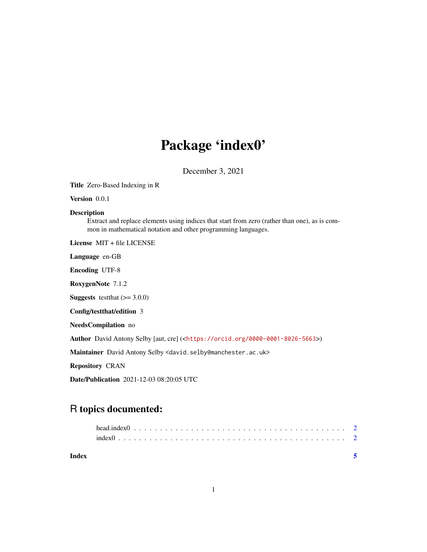## Package 'index0'

December 3, 2021

<span id="page-0-0"></span>Title Zero-Based Indexing in R Version 0.0.1 Description Extract and replace elements using indices that start from zero (rather than one), as is common in mathematical notation and other programming languages. License MIT + file LICENSE Language en-GB Encoding UTF-8 RoxygenNote 7.1.2 **Suggests** testthat  $(>= 3.0.0)$ Config/testthat/edition 3 NeedsCompilation no Author David Antony Selby [aut, cre] (<<https://orcid.org/0000-0001-8026-5663>>) Maintainer David Antony Selby <david.selby@manchester.ac.uk> Repository CRAN Date/Publication 2021-12-03 08:20:05 UTC

### R topics documented:

|       | $index 0                2$ |  |  |  |  |  |  |  |  |  |  |  |  |  |  |  |  |  |  |  |  |
|-------|----------------------------|--|--|--|--|--|--|--|--|--|--|--|--|--|--|--|--|--|--|--|--|
| Index |                            |  |  |  |  |  |  |  |  |  |  |  |  |  |  |  |  |  |  |  |  |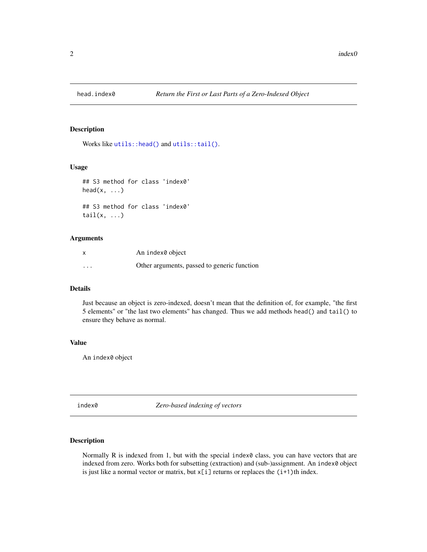<span id="page-1-0"></span>

#### Description

Works like [utils::head\(\)](#page-0-0) and [utils::tail\(\)](#page-0-0).

#### Usage

```
## S3 method for class 'index0'
head(x, \ldots)## S3 method for class 'index0'
tail(x, \ldots)
```
#### Arguments

|                         | An index0 object                            |
|-------------------------|---------------------------------------------|
| $\cdot$ $\cdot$ $\cdot$ | Other arguments, passed to generic function |

#### Details

Just because an object is zero-indexed, doesn't mean that the definition of, for example, "the first 5 elements" or "the last two elements" has changed. Thus we add methods head() and tail() to ensure they behave as normal.

#### Value

An index0 object

index0 *Zero-based indexing of vectors*

#### Description

Normally R is indexed from 1, but with the special index0 class, you can have vectors that are indexed from zero. Works both for subsetting (extraction) and (sub-)assignment. An index0 object is just like a normal vector or matrix, but  $x[i]$  returns or replaces the  $(i+1)$ th index.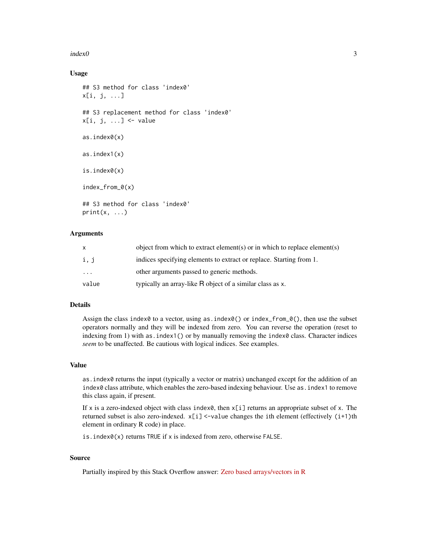#### $index0$  3

#### Usage

```
## S3 method for class 'index0'
x[i, j, ...]
## S3 replacement method for class 'index0'
x[i, j, ...] <- value
as.index0(x)
as.index1(x)
is.index0(x)
index_from_0(x)
## S3 method for class 'index0'
print(x, \ldots)
```
#### Arguments

| $\mathsf{x}$            | object from which to extract element(s) or in which to replace element(s) |
|-------------------------|---------------------------------------------------------------------------|
| i, j                    | indices specifying elements to extract or replace. Starting from 1.       |
| $\cdot$ $\cdot$ $\cdot$ | other arguments passed to generic methods.                                |
| value                   | typically an array-like R object of a similar class as x.                 |

#### Details

Assign the class index $\theta$  to a vector, using as. index $\theta$ () or index\_from\_ $\theta$ (), then use the subset operators normally and they will be indexed from zero. You can reverse the operation (reset to indexing from 1) with as.  $index1()$  or by manually removing the index $\theta$  class. Character indices *seem* to be unaffected. Be cautious with logical indices. See examples.

#### Value

as.index0 returns the input (typically a vector or matrix) unchanged except for the addition of an index0 class attribute, which enables the zero-based indexing behaviour. Use as.index1 to remove this class again, if present.

If x is a zero-indexed object with class index $\theta$ , then  $x[i]$  returns an appropriate subset of x. The returned subset is also zero-indexed.  $x[i]$  <-value changes the ith element (effectively  $(i+1)$ th element in ordinary R code) in place.

is.index0(x) returns TRUE if x is indexed from zero, otherwise FALSE.

#### Source

Partially inspired by this Stack Overflow answer: [Zero based arrays/vectors in R](https://stackoverflow.com/a/49927880)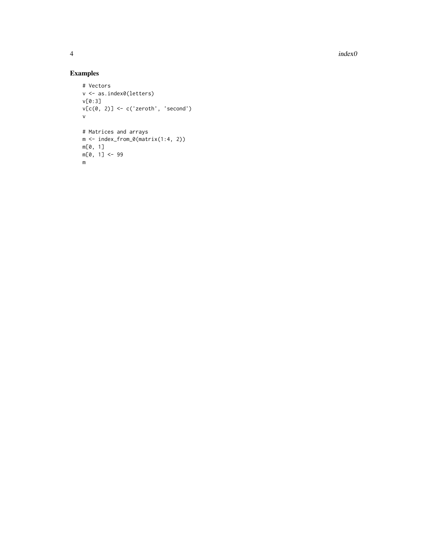$4 \cdot \text{index0}$ 

#### Examples

```
# Vectors
v <- as.index0(letters)
v[0:3]
v[c(0, 2)] <- c('zeroth', 'second') v
# Matrices and arrays
m \leftarrow index_from_0(matrix(1:4, 2))
m[0, 1]
m[0, 1] <- 99 m
```